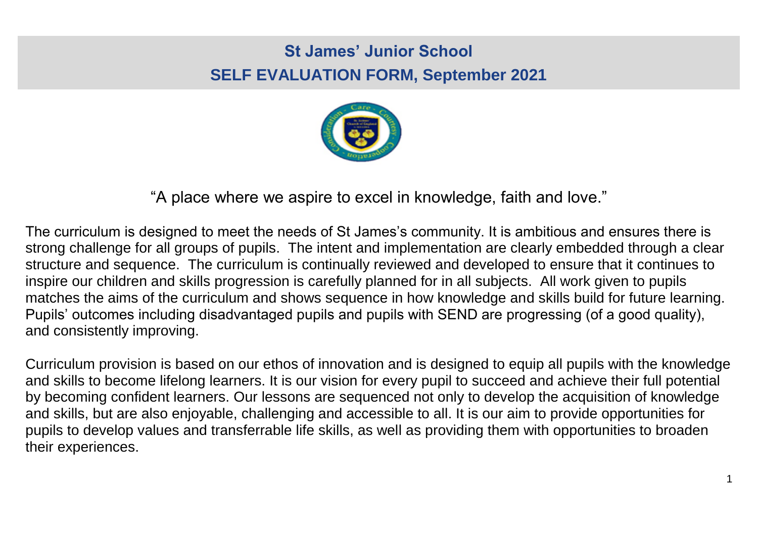# **St James' Junior School SELF EVALUATION FORM, September 2021**



"A place where we aspire to excel in knowledge, faith and love."

The curriculum is designed to meet the needs of St James's community. It is ambitious and ensures there is strong challenge for all groups of pupils. The intent and implementation are clearly embedded through a clear structure and sequence. The curriculum is continually reviewed and developed to ensure that it continues to inspire our children and skills progression is carefully planned for in all subjects. All work given to pupils matches the aims of the curriculum and shows sequence in how knowledge and skills build for future learning. Pupils' outcomes including disadvantaged pupils and pupils with SEND are progressing (of a good quality), and consistently improving.

Curriculum provision is based on our ethos of innovation and is designed to equip all pupils with the knowledge and skills to become lifelong learners. It is our vision for every pupil to succeed and achieve their full potential by becoming confident learners. Our lessons are sequenced not only to develop the acquisition of knowledge and skills, but are also enjoyable, challenging and accessible to all. It is our aim to provide opportunities for pupils to develop values and transferrable life skills, as well as providing them with opportunities to broaden their experiences.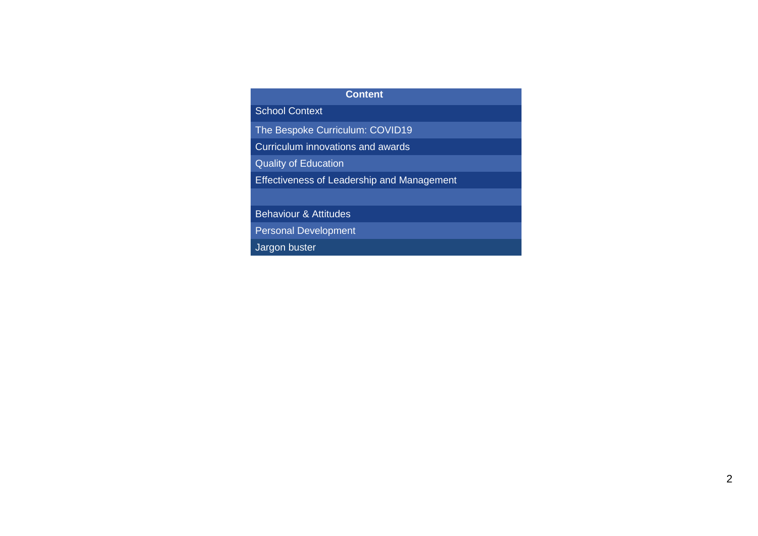## **Content**

School Context

The Bespoke Curriculum: COVID19

Curriculum innovations and awards

Quality of Education

Effectiveness of Leadership and Management

Behaviour & Attitudes

Personal Development

Jargon buster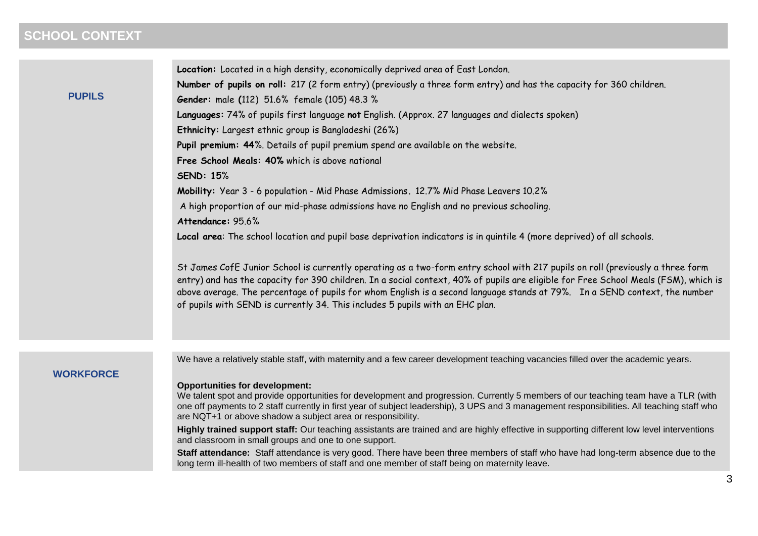## **SCHOOL CONTEXT**

|               | Location: Located in a high density, economically deprived area of East London.                                                                                                                                                                                                                                                                                                                     |
|---------------|-----------------------------------------------------------------------------------------------------------------------------------------------------------------------------------------------------------------------------------------------------------------------------------------------------------------------------------------------------------------------------------------------------|
|               | Number of pupils on roll: 217 (2 form entry) (previously a three form entry) and has the capacity for 360 children.                                                                                                                                                                                                                                                                                 |
| <b>PUPILS</b> | <b>Gender:</b> male (112) 51.6% female (105) 48.3 %                                                                                                                                                                                                                                                                                                                                                 |
|               | Languages: 74% of pupils first language not English. (Approx. 27 languages and dialects spoken)                                                                                                                                                                                                                                                                                                     |
|               | Ethnicity: Largest ethnic group is Bangladeshi (26%)                                                                                                                                                                                                                                                                                                                                                |
|               | Pupil premium: 44%. Details of pupil premium spend are available on the website.                                                                                                                                                                                                                                                                                                                    |
|               | Free School Meals: 40% which is above national                                                                                                                                                                                                                                                                                                                                                      |
|               | <b>SEND: 15%</b>                                                                                                                                                                                                                                                                                                                                                                                    |
|               | Mobility: Year 3 - 6 population - Mid Phase Admissions. 12.7% Mid Phase Leavers 10.2%                                                                                                                                                                                                                                                                                                               |
|               | A high proportion of our mid-phase admissions have no English and no previous schooling.                                                                                                                                                                                                                                                                                                            |
|               | Attendance: 95.6%                                                                                                                                                                                                                                                                                                                                                                                   |
|               | Local area: The school location and pupil base deprivation indicators is in quintile 4 (more deprived) of all schools.                                                                                                                                                                                                                                                                              |
|               | St James CofE Junior School is currently operating as a two-form entry school with 217 pupils on roll (previously a three form<br>entry) and has the capacity for 390 children. In a social context, 40% of pupils are eligible for Free School Meals (FSM), which is<br>above average. The percentage of pupils for whom English is a second language stands at 79%. In a SEND context, the number |

of pupils with SEND is currently 34. This includes 5 pupils with an EHC plan.

## **WORKFORCE**

We have a relatively stable staff, with maternity and a few career development teaching vacancies filled over the academic years.

#### **Opportunities for development:**

We talent spot and provide opportunities for development and progression. Currently 5 members of our teaching team have a TLR (with one off payments to 2 staff currently in first year of subject leadership), 3 UPS and 3 management responsibilities. All teaching staff who are NQT+1 or above shadow a subject area or responsibility.

**Highly trained support staff:** Our teaching assistants are trained and are highly effective in supporting different low level interventions and classroom in small groups and one to one support.

**Staff attendance:** Staff attendance is very good. There have been three members of staff who have had long-term absence due to the long term ill-health of two members of staff and one member of staff being on maternity leave.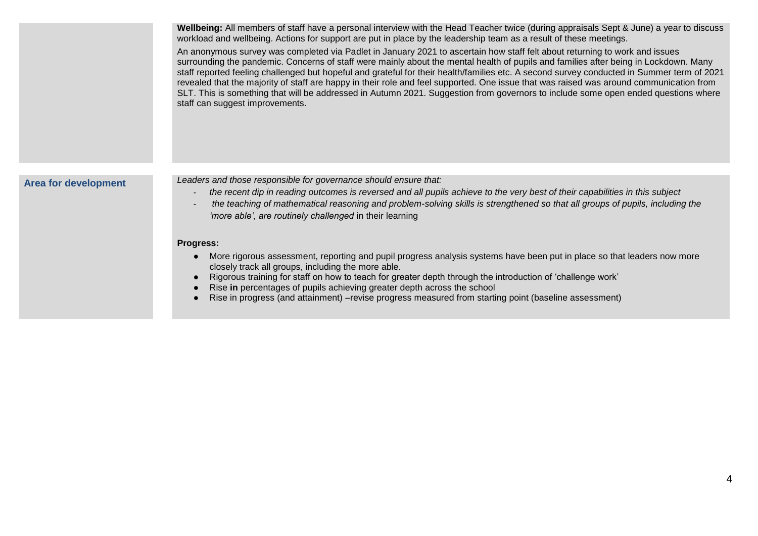**Wellbeing:** All members of staff have a personal interview with the Head Teacher twice (during appraisals Sept & June) a year to discuss workload and wellbeing. Actions for support are put in place by the leadership team as a result of these meetings.

An anonymous survey was completed via Padlet in January 2021 to ascertain how staff felt about returning to work and issues surrounding the pandemic. Concerns of staff were mainly about the mental health of pupils and families after being in Lockdown. Many staff reported feeling challenged but hopeful and grateful for their health/families etc. A second survey conducted in Summer term of 2021 revealed that the majority of staff are happy in their role and feel supported. One issue that was raised was around communication from SLT. This is something that will be addressed in Autumn 2021. Suggestion from governors to include some open ended questions where staff can suggest improvements.

**Area for development** *Leaders and those responsible for governance should ensure that:* 

- *- the recent dip in reading outcomes is reversed and all pupils achieve to the very best of their capabilities in this subject*
- *- the teaching of mathematical reasoning and problem-solving skills is strengthened so that all groups of pupils, including the 'more able', are routinely challenged* in their learning

#### **Progress:**

- More rigorous assessment, reporting and pupil progress analysis systems have been put in place so that leaders now more closely track all groups, including the more able.
- Rigorous training for staff on how to teach for greater depth through the introduction of 'challenge work'
- Rise **in** percentages of pupils achieving greater depth across the school
- Rise in progress (and attainment) –revise progress measured from starting point (baseline assessment)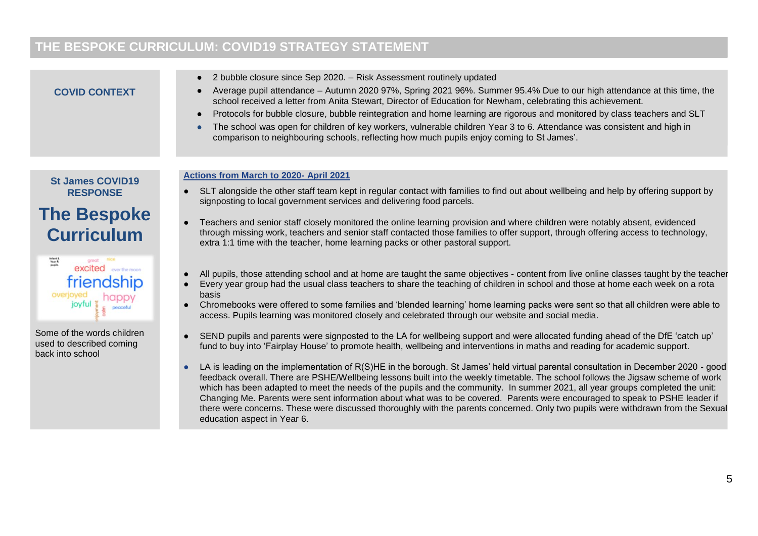## **THE BESPOKE CURRICULUM: COVID19 STRATEGY STATEMENT**

#### ● 2 bubble closure since Sep 2020. – Risk Assessment routinely updated ● Average pupil attendance – Autumn 2020 97%, Spring 2021 96%. Summer 95.4% Due to our high attendance at this time, the **COVID CONTEXT** school received a letter from Anita Stewart, Director of Education for Newham, celebrating this achievement. ● Protocols for bubble closure, bubble reintegration and home learning are rigorous and monitored by class teachers and SLT ● The school was open for children of key workers, vulnerable children Year 3 to 6. Attendance was consistent and high in comparison to neighbouring schools, reflecting how much pupils enjoy coming to St James'. **Actions from March to 2020- April 2021 St James COVID19**  ● SLT alongside the other staff team kept in regular contact with families to find out about wellbeing and help by offering support by **RESPONSE** signposting to local government services and delivering food parcels. **The Bespoke**  Teachers and senior staff closely monitored the online learning provision and where children were notably absent, evidenced **Curriculum** through missing work, teachers and senior staff contacted those families to offer support, through offering access to technology, extra 1:1 time with the teacher, home learning packs or other pastoral support. Infant &<br>Year R<br>pupils excited wastherman All pupils, those attending school and at home are taught the same objectives - content from live online classes taught by the teacher friendship ● Every year group had the usual class teachers to share the teaching of children in school and those at home each week on a rota overjoyed basis joyful Chromebooks were offered to some families and 'blended learning' home learning packs were sent so that all children were able to access. Pupils learning was monitored closely and celebrated through our website and social media. Some of the words children SEND pupils and parents were signposted to the LA for wellbeing support and were allocated funding ahead of the DfE 'catch up' used to described coming fund to buy into 'Fairplay House' to promote health, wellbeing and interventions in maths and reading for academic support. back into school ● LA is leading on the implementation of R(S)HE in the borough. St James' held virtual parental consultation in December 2020 - good

feedback overall. There are PSHE/Wellbeing lessons built into the weekly timetable. The school follows the Jigsaw scheme of work which has been adapted to meet the needs of the pupils and the community. In summer 2021, all year groups completed the unit: Changing Me. Parents were sent information about what was to be covered. Parents were encouraged to speak to PSHE leader if there were concerns. These were discussed thoroughly with the parents concerned. Only two pupils were withdrawn from the Sexual education aspect in Year 6.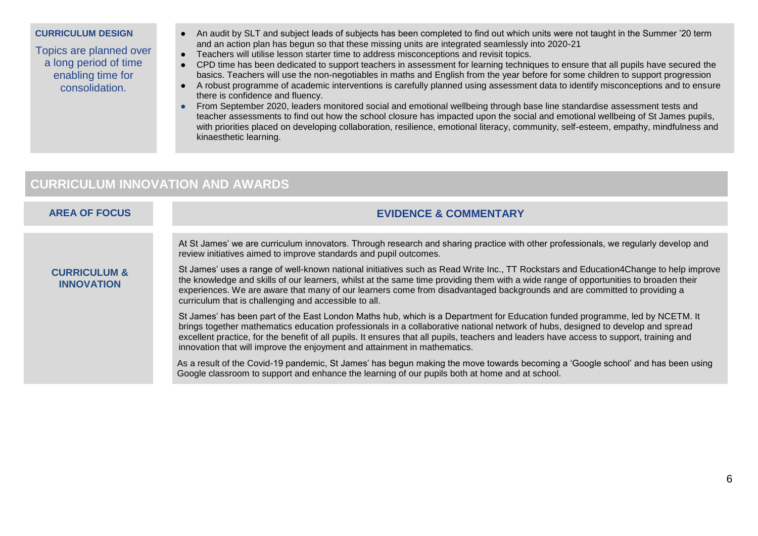#### **CURRICULUM DESIGN**

Topics are planned over a long period of time enabling time for consolidation.

- An audit by SLT and subject leads of subjects has been completed to find out which units were not taught in the Summer '20 term and an action plan has begun so that these missing units are integrated seamlessly into 2020-21
- Teachers will utilise lesson starter time to address misconceptions and revisit topics.
- CPD time has been dedicated to support teachers in assessment for learning techniques to ensure that all pupils have secured the basics. Teachers will use the non-negotiables in maths and English from the year before for some children to support progression
- A robust programme of academic interventions is carefully planned using assessment data to identify misconceptions and to ensure there is confidence and fluency.
- From September 2020, leaders monitored social and emotional wellbeing through base line standardise assessment tests and teacher assessments to find out how the school closure has impacted upon the social and emotional wellbeing of St James pupils, with priorities placed on developing collaboration, resilience, emotional literacy, community, self-esteem, empathy, mindfulness and kinaesthetic learning.

## **CURRICULUM INNOVATION AND AWARDS**

## **AREA OF FOCUS EVIDENCE & COMMENTARY**

At St James' we are curriculum innovators. Through research and sharing practice with other professionals, we regularly develop and review initiatives aimed to improve standards and pupil outcomes.

### **CURRICULUM & INNOVATION**

St James' uses a range of well-known national initiatives such as Read Write Inc., TT Rockstars and Education4Change to help improve the knowledge and skills of our learners, whilst at the same time providing them with a wide range of opportunities to broaden their experiences. We are aware that many of our learners come from disadvantaged backgrounds and are committed to providing a curriculum that is challenging and accessible to all.

St James' has been part of the East London Maths hub, which is a Department for Education funded programme, led by NCETM. It brings together mathematics education professionals in a collaborative national network of hubs, designed to develop and spread excellent practice, for the benefit of all pupils. It ensures that all pupils, teachers and leaders have access to support, training and innovation that will improve the enjoyment and attainment in mathematics.

As a result of the Covid-19 pandemic, St James' has begun making the move towards becoming a 'Google school' and has been using Google classroom to support and enhance the learning of our pupils both at home and at school.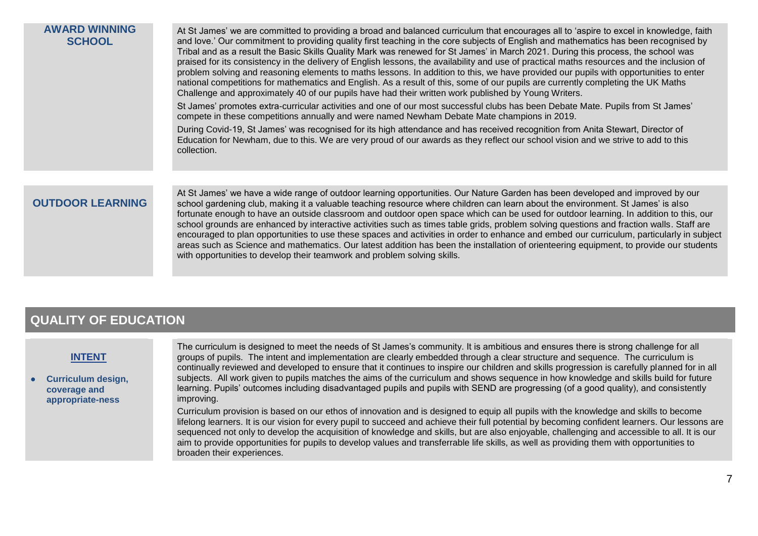## **AWARD WINNING SCHOOL**

At St James' we are committed to providing a broad and balanced curriculum that encourages all to 'aspire to excel in knowledge, faith and love.' Our commitment to providing quality first teaching in the core subjects of English and mathematics has been recognised by Tribal and as a result the Basic Skills Quality Mark was renewed for St James' in March 2021. During this process, the school was praised for its consistency in the delivery of English lessons, the availability and use of practical maths resources and the inclusion of problem solving and reasoning elements to maths lessons. In addition to this, we have provided our pupils with opportunities to enter national competitions for mathematics and English. As a result of this, some of our pupils are currently completing the UK Maths Challenge and approximately 40 of our pupils have had their written work published by Young Writers.

St James' promotes extra-curricular activities and one of our most successful clubs has been Debate Mate. Pupils from St James' compete in these competitions annually and were named Newham Debate Mate champions in 2019.

During Covid-19, St James' was recognised for its high attendance and has received recognition from Anita Stewart, Director of Education for Newham, due to this. We are very proud of our awards as they reflect our school vision and we strive to add to this collection.

## **OUTDOOR LEARNING**

At St James' we have a wide range of outdoor learning opportunities. Our Nature Garden has been developed and improved by our school gardening club, making it a valuable teaching resource where children can learn about the environment. St James' is also fortunate enough to have an outside classroom and outdoor open space which can be used for outdoor learning. In addition to this, our school grounds are enhanced by interactive activities such as times table grids, problem solving questions and fraction walls. Staff are encouraged to plan opportunities to use these spaces and activities in order to enhance and embed our curriculum, particularly in subject areas such as Science and mathematics. Our latest addition has been the installation of orienteering equipment, to provide our students with opportunities to develop their teamwork and problem solving skills.

## **QUALITY OF EDUCATION**

## **INTENT**

**Curriculum design. coverage and appropriate-ness**

The curriculum is designed to meet the needs of St James's community. It is ambitious and ensures there is strong challenge for all groups of pupils. The intent and implementation are clearly embedded through a clear structure and sequence. The curriculum is continually reviewed and developed to ensure that it continues to inspire our children and skills progression is carefully planned for in all subjects. All work given to pupils matches the aims of the curriculum and shows sequence in how knowledge and skills build for future learning. Pupils' outcomes including disadvantaged pupils and pupils with SEND are progressing (of a good quality), and consistently improving.

Curriculum provision is based on our ethos of innovation and is designed to equip all pupils with the knowledge and skills to become lifelong learners. It is our vision for every pupil to succeed and achieve their full potential by becoming confident learners. Our lessons are sequenced not only to develop the acquisition of knowledge and skills, but are also enjoyable, challenging and accessible to all. It is our aim to provide opportunities for pupils to develop values and transferrable life skills, as well as providing them with opportunities to broaden their experiences.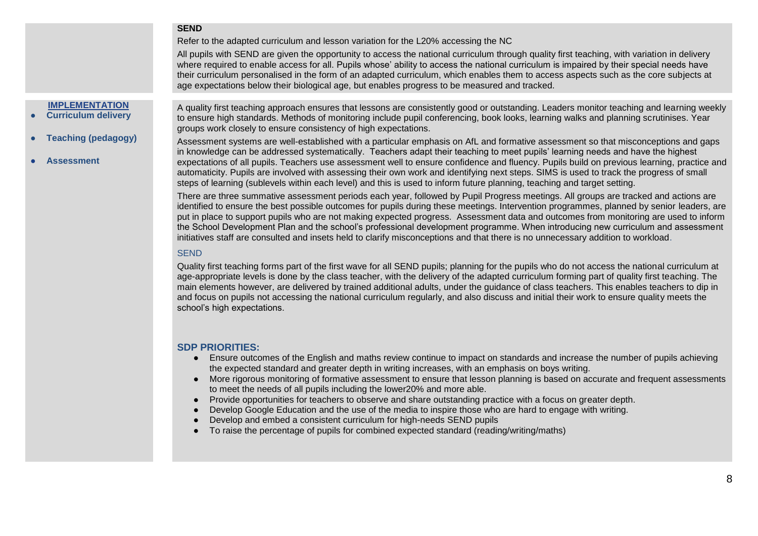### **SEND**

Refer to the adapted curriculum and lesson variation for the L20% accessing the NC

All pupils with SEND are given the opportunity to access the national curriculum through quality first teaching, with variation in delivery where required to enable access for all. Pupils whose' ability to access the national curriculum is impaired by their special needs have their curriculum personalised in the form of an adapted curriculum, which enables them to access aspects such as the core subjects at age expectations below their biological age, but enables progress to be measured and tracked.

## **IMPLEMENTATION**

- **Curriculum delivery**
- **Teaching (pedagogy)**
- **Assessment**

A quality first teaching approach ensures that lessons are consistently good or outstanding. Leaders monitor teaching and learning weekly to ensure high standards. Methods of monitoring include pupil conferencing, book looks, learning walks and planning scrutinises. Year groups work closely to ensure consistency of high expectations.

Assessment systems are well-established with a particular emphasis on AfL and formative assessment so that misconceptions and gaps in knowledge can be addressed systematically. Teachers adapt their teaching to meet pupils' learning needs and have the highest expectations of all pupils. Teachers use assessment well to ensure confidence and fluency. Pupils build on previous learning, practice and automaticity. Pupils are involved with assessing their own work and identifying next steps. SIMS is used to track the progress of small steps of learning (sublevels within each level) and this is used to inform future planning, teaching and target setting.

There are three summative assessment periods each year, followed by Pupil Progress meetings. All groups are tracked and actions are identified to ensure the best possible outcomes for pupils during these meetings. Intervention programmes, planned by senior leaders, are put in place to support pupils who are not making expected progress. Assessment data and outcomes from monitoring are used to inform the School Development Plan and the school's professional development programme. When introducing new curriculum and assessment initiatives staff are consulted and insets held to clarify misconceptions and that there is no unnecessary addition to workload.

#### **SEND**

Quality first teaching forms part of the first wave for all SEND pupils; planning for the pupils who do not access the national curriculum at age-appropriate levels is done by the class teacher, with the delivery of the adapted curriculum forming part of quality first teaching. The main elements however, are delivered by trained additional adults, under the guidance of class teachers. This enables teachers to dip in and focus on pupils not accessing the national curriculum regularly, and also discuss and initial their work to ensure quality meets the school's high expectations.

- Ensure outcomes of the English and maths review continue to impact on standards and increase the number of pupils achieving the expected standard and greater depth in writing increases, with an emphasis on boys writing.
- More rigorous monitoring of formative assessment to ensure that lesson planning is based on accurate and frequent assessments to meet the needs of all pupils including the lower20% and more able.
- Provide opportunities for teachers to observe and share outstanding practice with a focus on greater depth.
- Develop Google Education and the use of the media to inspire those who are hard to engage with writing.
- Develop and embed a consistent curriculum for high-needs SEND pupils
- To raise the percentage of pupils for combined expected standard (reading/writing/maths)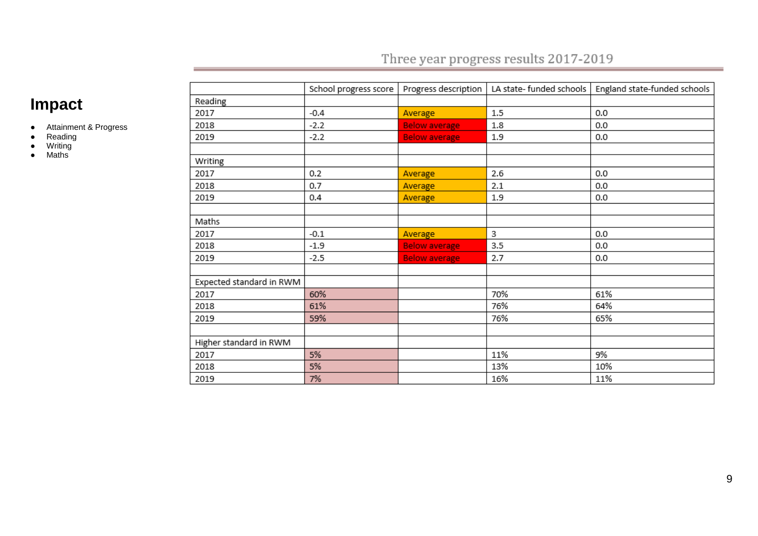## Three year progress results 2017-2019

# **Impact**

- Attainment & Progress
- Reading
- Writing
- Maths

|                          | School progress score | Progress description |     | LA state- funded schools   England state-funded schools |
|--------------------------|-----------------------|----------------------|-----|---------------------------------------------------------|
| Reading                  |                       |                      |     |                                                         |
| 2017                     | $-0.4$                | Average              | 1.5 | 0.0                                                     |
| 2018                     | $-2.2$                | <b>Below average</b> | 1.8 | 0.0                                                     |
| 2019                     | $-2.2$                | <b>Below average</b> | 1.9 | 0.0                                                     |
|                          |                       |                      |     |                                                         |
| Writing                  |                       |                      |     |                                                         |
| 2017                     | 0.2                   | Average              | 2.6 | 0.0                                                     |
| 2018                     | 0.7                   | Average              | 2.1 | 0.0                                                     |
| 2019                     | 0.4                   | Average              | 1.9 | 0.0                                                     |
|                          |                       |                      |     |                                                         |
| Maths                    |                       |                      |     |                                                         |
| 2017                     | $-0.1$                | Average              | 3   | 0.0                                                     |
| 2018                     | $-1.9$                | <b>Below average</b> | 3.5 | 0.0                                                     |
| 2019                     | $-2.5$                | <b>Below average</b> | 2.7 | 0.0                                                     |
|                          |                       |                      |     |                                                         |
| Expected standard in RWM |                       |                      |     |                                                         |
| 2017                     | 60%                   |                      | 70% | 61%                                                     |
| 2018                     | 61%                   |                      | 76% | 64%                                                     |
| 2019                     | 59%                   |                      | 76% | 65%                                                     |
|                          |                       |                      |     |                                                         |
| Higher standard in RWM   |                       |                      |     |                                                         |
| 2017                     | 5%                    |                      | 11% | 9%                                                      |
| 2018                     | 5%                    |                      | 13% | 10%                                                     |
| 2019                     | 7%                    |                      | 16% | 11%                                                     |
|                          |                       |                      |     |                                                         |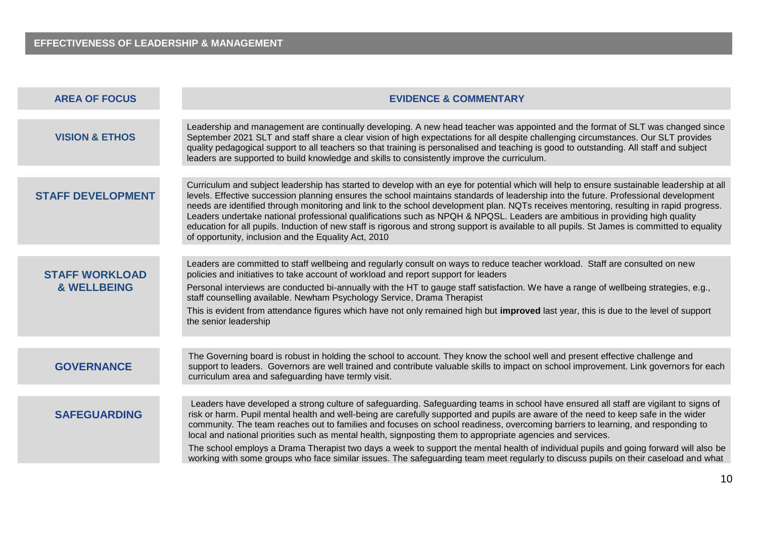| <b>AREA OF FOCUS</b>                            | <b>EVIDENCE &amp; COMMENTARY</b>                                                                                                                                                                                                                                                                                                                                                                                                                                                                                                                                                                                                                                                                                                                                                                               |
|-------------------------------------------------|----------------------------------------------------------------------------------------------------------------------------------------------------------------------------------------------------------------------------------------------------------------------------------------------------------------------------------------------------------------------------------------------------------------------------------------------------------------------------------------------------------------------------------------------------------------------------------------------------------------------------------------------------------------------------------------------------------------------------------------------------------------------------------------------------------------|
| <b>VISION &amp; ETHOS</b>                       | Leadership and management are continually developing. A new head teacher was appointed and the format of SLT was changed since<br>September 2021 SLT and staff share a clear vision of high expectations for all despite challenging circumstances. Our SLT provides<br>quality pedagogical support to all teachers so that training is personalised and teaching is good to outstanding. All staff and subject<br>leaders are supported to build knowledge and skills to consistently improve the curriculum.                                                                                                                                                                                                                                                                                                 |
| <b>STAFF DEVELOPMENT</b>                        | Curriculum and subject leadership has started to develop with an eye for potential which will help to ensure sustainable leadership at all<br>levels. Effective succession planning ensures the school maintains standards of leadership into the future. Professional development<br>needs are identified through monitoring and link to the school development plan. NQTs receives mentoring, resulting in rapid progress.<br>Leaders undertake national professional qualifications such as NPQH & NPQSL. Leaders are ambitious in providing high quality<br>education for all pupils. Induction of new staff is rigorous and strong support is available to all pupils. St James is committed to equality<br>of opportunity, inclusion and the Equality Act, 2010                                          |
| <b>STAFF WORKLOAD</b><br><b>&amp; WELLBEING</b> | Leaders are committed to staff wellbeing and regularly consult on ways to reduce teacher workload. Staff are consulted on new<br>policies and initiatives to take account of workload and report support for leaders<br>Personal interviews are conducted bi-annually with the HT to gauge staff satisfaction. We have a range of wellbeing strategies, e.g.,<br>staff counselling available. Newham Psychology Service, Drama Therapist<br>This is evident from attendance figures which have not only remained high but improved last year, this is due to the level of support<br>the senior leadership                                                                                                                                                                                                     |
| <b>GOVERNANCE</b>                               | The Governing board is robust in holding the school to account. They know the school well and present effective challenge and<br>support to leaders. Governors are well trained and contribute valuable skills to impact on school improvement. Link governors for each<br>curriculum area and safeguarding have termly visit.                                                                                                                                                                                                                                                                                                                                                                                                                                                                                 |
| <b>SAFEGUARDING</b>                             | Leaders have developed a strong culture of safeguarding. Safeguarding teams in school have ensured all staff are vigilant to signs of<br>risk or harm. Pupil mental health and well-being are carefully supported and pupils are aware of the need to keep safe in the wider<br>community. The team reaches out to families and focuses on school readiness, overcoming barriers to learning, and responding to<br>local and national priorities such as mental health, signposting them to appropriate agencies and services.<br>The school employs a Drama Therapist two days a week to support the mental health of individual pupils and going forward will also be<br>working with some groups who face similar issues. The safeguarding team meet regularly to discuss pupils on their caseload and what |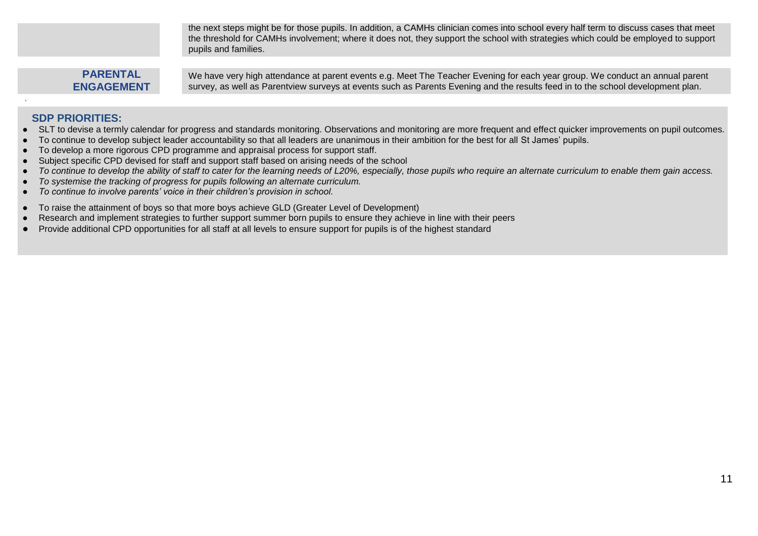the next steps might be for those pupils. In addition, a CAMHs clinician comes into school every half term to discuss cases that meet the threshold for CAMHs involvement; where it does not, they support the school with strategies which could be employed to support pupils and families.

## **PARENTAL ENGAGEMENT**

We have very high attendance at parent events e.g. Meet The Teacher Evening for each year group. We conduct an annual parent survey, as well as Parentview surveys at events such as Parents Evening and the results feed in to the school development plan.

- SLT to devise a termly calendar for progress and standards monitoring. Observations and monitoring are more frequent and effect quicker improvements on pupil outcomes.
- To continue to develop subiect leader accountability so that all leaders are unanimous in their ambition for the best for all St James' pupils.
- To develop a more rigorous CPD programme and appraisal process for support staff.
- Subject specific CPD devised for staff and support staff based on arising needs of the school
- *To continue to develop the ability of staff to cater for the learning needs of L20%, especially, those pupils who require an alternate curriculum to enable them gain access.*
- *To systemise the tracking of progress for pupils following an alternate curriculum.*
- *To continue to involve parents' voice in their children's provision in school.*
- To raise the attainment of boys so that more boys achieve GLD (Greater Level of Development)
- Research and implement strategies to further support summer born pupils to ensure they achieve in line with their peers
- Provide additional CPD opportunities for all staff at all levels to ensure support for pupils is of the highest standard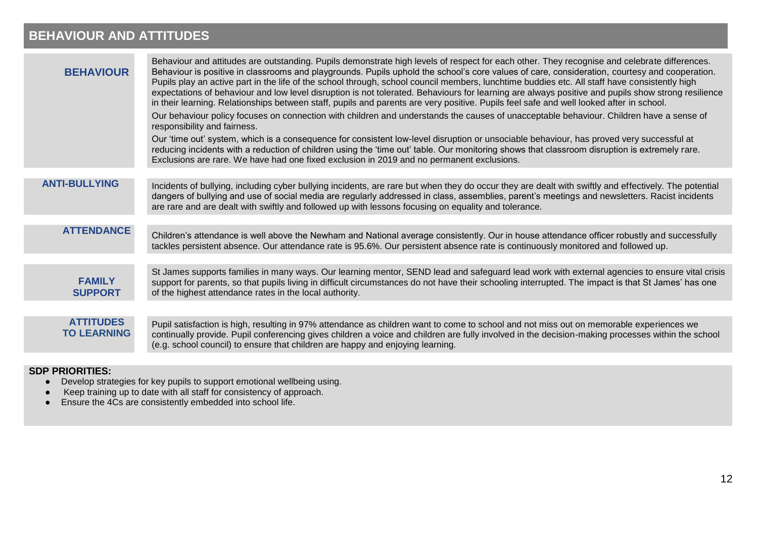## **BEHAVIOUR AND ATTITUDES**

| <b>BEHAVIOUR</b>                       | Behaviour and attitudes are outstanding. Pupils demonstrate high levels of respect for each other. They recognise and celebrate differences.<br>Behaviour is positive in classrooms and playgrounds. Pupils uphold the school's core values of care, consideration, courtesy and cooperation.<br>Pupils play an active part in the life of the school through, school council members, lunchtime buddies etc. All staff have consistently high<br>expectations of behaviour and low level disruption is not tolerated. Behaviours for learning are always positive and pupils show strong resilience<br>in their learning. Relationships between staff, pupils and parents are very positive. Pupils feel safe and well looked after in school.<br>Our behaviour policy focuses on connection with children and understands the causes of unacceptable behaviour. Children have a sense of<br>responsibility and fairness.<br>Our 'time out' system, which is a consequence for consistent low-level disruption or unsociable behaviour, has proved very successful at<br>reducing incidents with a reduction of children using the 'time out' table. Our monitoring shows that classroom disruption is extremely rare.<br>Exclusions are rare. We have had one fixed exclusion in 2019 and no permanent exclusions. |
|----------------------------------------|----------------------------------------------------------------------------------------------------------------------------------------------------------------------------------------------------------------------------------------------------------------------------------------------------------------------------------------------------------------------------------------------------------------------------------------------------------------------------------------------------------------------------------------------------------------------------------------------------------------------------------------------------------------------------------------------------------------------------------------------------------------------------------------------------------------------------------------------------------------------------------------------------------------------------------------------------------------------------------------------------------------------------------------------------------------------------------------------------------------------------------------------------------------------------------------------------------------------------------------------------------------------------------------------------------------------|
|                                        |                                                                                                                                                                                                                                                                                                                                                                                                                                                                                                                                                                                                                                                                                                                                                                                                                                                                                                                                                                                                                                                                                                                                                                                                                                                                                                                      |
| <b>ANTI-BULLYING</b>                   | Incidents of bullying, including cyber bullying incidents, are rare but when they do occur they are dealt with swiftly and effectively. The potential<br>dangers of bullying and use of social media are regularly addressed in class, assemblies, parent's meetings and newsletters. Racist incidents<br>are rare and are dealt with swiftly and followed up with lessons focusing on equality and tolerance.                                                                                                                                                                                                                                                                                                                                                                                                                                                                                                                                                                                                                                                                                                                                                                                                                                                                                                       |
|                                        |                                                                                                                                                                                                                                                                                                                                                                                                                                                                                                                                                                                                                                                                                                                                                                                                                                                                                                                                                                                                                                                                                                                                                                                                                                                                                                                      |
| <b>ATTENDANCE</b>                      | Children's attendance is well above the Newham and National average consistently. Our in house attendance officer robustly and successfully<br>tackles persistent absence. Our attendance rate is 95.6%. Our persistent absence rate is continuously monitored and followed up.                                                                                                                                                                                                                                                                                                                                                                                                                                                                                                                                                                                                                                                                                                                                                                                                                                                                                                                                                                                                                                      |
|                                        |                                                                                                                                                                                                                                                                                                                                                                                                                                                                                                                                                                                                                                                                                                                                                                                                                                                                                                                                                                                                                                                                                                                                                                                                                                                                                                                      |
| <b>FAMILY</b><br><b>SUPPORT</b>        | St James supports families in many ways. Our learning mentor, SEND lead and safeguard lead work with external agencies to ensure vital crisis<br>support for parents, so that pupils living in difficult circumstances do not have their schooling interrupted. The impact is that St James' has one<br>of the highest attendance rates in the local authority.                                                                                                                                                                                                                                                                                                                                                                                                                                                                                                                                                                                                                                                                                                                                                                                                                                                                                                                                                      |
|                                        |                                                                                                                                                                                                                                                                                                                                                                                                                                                                                                                                                                                                                                                                                                                                                                                                                                                                                                                                                                                                                                                                                                                                                                                                                                                                                                                      |
| <b>ATTITUDES</b><br><b>TO LEARNING</b> | Pupil satisfaction is high, resulting in 97% attendance as children want to come to school and not miss out on memorable experiences we<br>continually provide. Pupil conferencing gives children a voice and children are fully involved in the decision-making processes within the school<br>(e.g. school council) to ensure that children are happy and enjoying learning.                                                                                                                                                                                                                                                                                                                                                                                                                                                                                                                                                                                                                                                                                                                                                                                                                                                                                                                                       |
|                                        |                                                                                                                                                                                                                                                                                                                                                                                                                                                                                                                                                                                                                                                                                                                                                                                                                                                                                                                                                                                                                                                                                                                                                                                                                                                                                                                      |

- Develop strategies for key pupils to support emotional wellbeing using.
- Keep training up to date with all staff for consistency of approach.
- Ensure the 4Cs are consistently embedded into school life.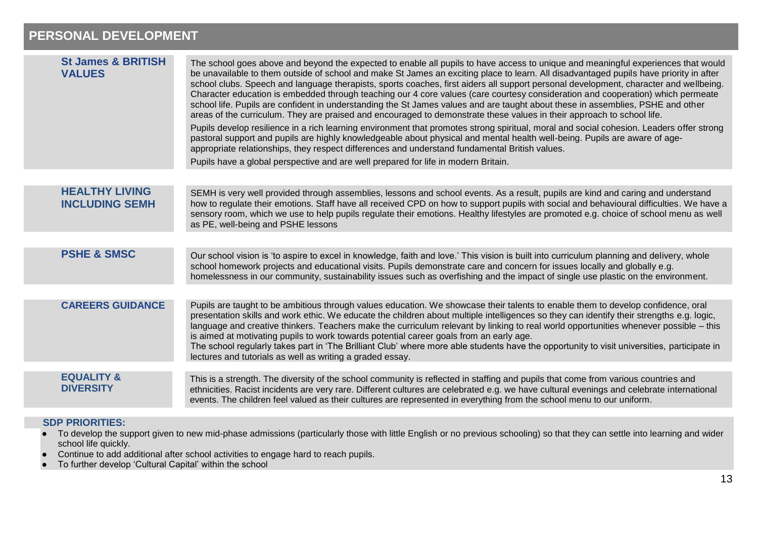## **PERSONAL DEVELOPMENT**

| <b>St James &amp; BRITISH</b><br><b>VALUES</b> | The school goes above and beyond the expected to enable all pupils to have access to unique and meaningful experiences that would<br>be unavailable to them outside of school and make St James an exciting place to learn. All disadvantaged pupils have priority in after<br>school clubs. Speech and language therapists, sports coaches, first aiders all support personal development, character and wellbeing.<br>Character education is embedded through teaching our 4 core values (care courtesy consideration and cooperation) which permeate<br>school life. Pupils are confident in understanding the St James values and are taught about these in assemblies, PSHE and other<br>areas of the curriculum. They are praised and encouraged to demonstrate these values in their approach to school life.<br>Pupils develop resilience in a rich learning environment that promotes strong spiritual, moral and social cohesion. Leaders offer strong<br>pastoral support and pupils are highly knowledgeable about physical and mental health well-being. Pupils are aware of age-<br>appropriate relationships, they respect differences and understand fundamental British values.<br>Pupils have a global perspective and are well prepared for life in modern Britain. |
|------------------------------------------------|----------------------------------------------------------------------------------------------------------------------------------------------------------------------------------------------------------------------------------------------------------------------------------------------------------------------------------------------------------------------------------------------------------------------------------------------------------------------------------------------------------------------------------------------------------------------------------------------------------------------------------------------------------------------------------------------------------------------------------------------------------------------------------------------------------------------------------------------------------------------------------------------------------------------------------------------------------------------------------------------------------------------------------------------------------------------------------------------------------------------------------------------------------------------------------------------------------------------------------------------------------------------------------------|
|                                                |                                                                                                                                                                                                                                                                                                                                                                                                                                                                                                                                                                                                                                                                                                                                                                                                                                                                                                                                                                                                                                                                                                                                                                                                                                                                                        |
| <b>HEALTHY LIVING</b><br><b>INCLUDING SEMH</b> | SEMH is very well provided through assemblies, lessons and school events. As a result, pupils are kind and caring and understand<br>how to regulate their emotions. Staff have all received CPD on how to support pupils with social and behavioural difficulties. We have a<br>sensory room, which we use to help pupils regulate their emotions. Healthy lifestyles are promoted e.g. choice of school menu as well<br>as PE, well-being and PSHE lessons                                                                                                                                                                                                                                                                                                                                                                                                                                                                                                                                                                                                                                                                                                                                                                                                                            |
|                                                |                                                                                                                                                                                                                                                                                                                                                                                                                                                                                                                                                                                                                                                                                                                                                                                                                                                                                                                                                                                                                                                                                                                                                                                                                                                                                        |
| <b>PSHE &amp; SMSC</b>                         | Our school vision is 'to aspire to excel in knowledge, faith and love.' This vision is built into curriculum planning and delivery, whole<br>school homework projects and educational visits. Pupils demonstrate care and concern for issues locally and globally e.g.<br>homelessness in our community, sustainability issues such as overfishing and the impact of single use plastic on the environment.                                                                                                                                                                                                                                                                                                                                                                                                                                                                                                                                                                                                                                                                                                                                                                                                                                                                            |
|                                                |                                                                                                                                                                                                                                                                                                                                                                                                                                                                                                                                                                                                                                                                                                                                                                                                                                                                                                                                                                                                                                                                                                                                                                                                                                                                                        |
| <b>CAREERS GUIDANCE</b>                        | Pupils are taught to be ambitious through values education. We showcase their talents to enable them to develop confidence, oral<br>presentation skills and work ethic. We educate the children about multiple intelligences so they can identify their strengths e.g. logic,<br>language and creative thinkers. Teachers make the curriculum relevant by linking to real world opportunities whenever possible – this<br>is aimed at motivating pupils to work towards potential career goals from an early age.<br>The school regularly takes part in 'The Brilliant Club' where more able students have the opportunity to visit universities, participate in<br>lectures and tutorials as well as writing a graded essay.                                                                                                                                                                                                                                                                                                                                                                                                                                                                                                                                                          |
|                                                |                                                                                                                                                                                                                                                                                                                                                                                                                                                                                                                                                                                                                                                                                                                                                                                                                                                                                                                                                                                                                                                                                                                                                                                                                                                                                        |
| <b>EQUALITY &amp;</b><br><b>DIVERSITY</b>      | This is a strength. The diversity of the school community is reflected in staffing and pupils that come from various countries and<br>ethnicities. Racist incidents are very rare. Different cultures are celebrated e.g. we have cultural evenings and celebrate international<br>events. The children feel valued as their cultures are represented in everything from the school menu to our uniform.                                                                                                                                                                                                                                                                                                                                                                                                                                                                                                                                                                                                                                                                                                                                                                                                                                                                               |
|                                                |                                                                                                                                                                                                                                                                                                                                                                                                                                                                                                                                                                                                                                                                                                                                                                                                                                                                                                                                                                                                                                                                                                                                                                                                                                                                                        |

- To develop the support given to new mid-phase admissions (particularly those with little English or no previous schooling) so that they can settle into learning and wider school life quickly.
- Continue to add additional after school activities to engage hard to reach pupils.
- To further develop 'Cultural Capital' within the school